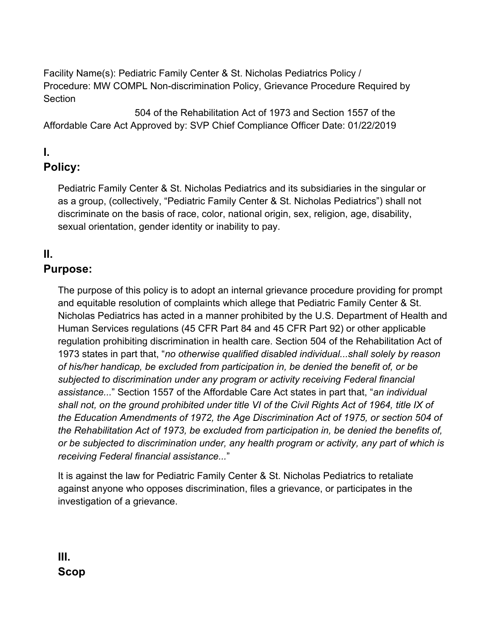Facility Name(s): Pediatric Family Center & St. Nicholas Pediatrics Policy / Procedure: MW COMPL Non-discrimination Policy, Grievance Procedure Required by **Section** 

504 of the Rehabilitation Act of 1973 and Section 1557 of the Affordable Care Act Approved by: SVP Chief Compliance Officer Date: 01/22/2019

# **I.**

## **Policy:**

Pediatric Family Center & St. Nicholas Pediatrics and its subsidiaries in the singular or as a group, (collectively, "Pediatric Family Center & St. Nicholas Pediatrics") shall not discriminate on the basis of race, color, national origin, sex, religion, age, disability, sexual orientation, gender identity or inability to pay.

## **II.**

### **Purpose:**

The purpose of this policy is to adopt an internal grievance procedure providing for prompt and equitable resolution of complaints which allege that Pediatric Family Center & St. Nicholas Pediatrics has acted in a manner prohibited by the U.S. Department of Health and Human Services regulations (45 CFR Part 84 and 45 CFR Part 92) or other applicable regulation prohibiting discrimination in health care. Section 504 of the Rehabilitation Act of 1973 states in part that, "*no otherwise qualified disabled individual...shall solely by reason of his/her handicap, be excluded from participation in, be denied the benefit of, or be subjected to discrimination under any program or activity receiving Federal financial assistance...*" Section 1557 of the Affordable Care Act states in part that, "*an individual shall not, on the ground prohibited under title VI of the Civil Rights Act of 1964, title IX of the Education Amendments of 1972, the Age Discrimination Act of 1975, or section 504 of the Rehabilitation Act of 1973, be excluded from participation in, be denied the benefits of, or be subjected to discrimination under, any health program or activity, any part of which is receiving Federal financial assistance...*"

It is against the law for Pediatric Family Center & St. Nicholas Pediatrics to retaliate against anyone who opposes discrimination, files a grievance, or participates in the investigation of a grievance.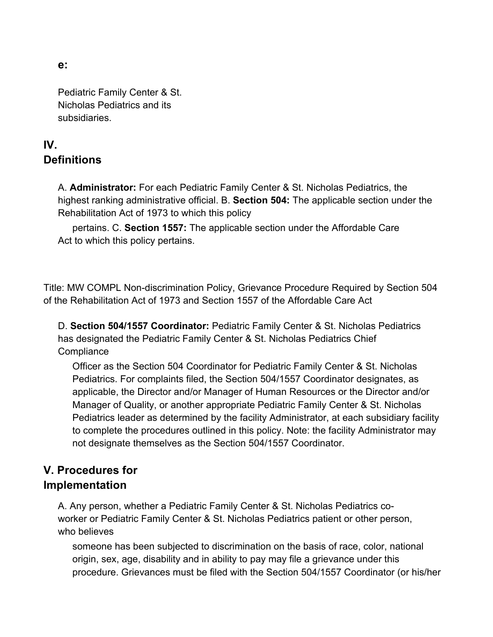**e:** 

Pediatric Family Center & St. Nicholas Pediatrics and its subsidiaries.

### **IV. Definitions**

A. **Administrator:** For each Pediatric Family Center & St. Nicholas Pediatrics, the highest ranking administrative official. B. **Section 504:** The applicable section under the Rehabilitation Act of 1973 to which this policy

pertains. C. **Section 1557:** The applicable section under the Affordable Care Act to which this policy pertains.

Title: MW COMPL Non-discrimination Policy, Grievance Procedure Required by Section 504 of the Rehabilitation Act of 1973 and Section 1557 of the Affordable Care Act

D. **Section 504/1557 Coordinator:** Pediatric Family Center & St. Nicholas Pediatrics has designated the Pediatric Family Center & St. Nicholas Pediatrics Chief **Compliance** 

Officer as the Section 504 Coordinator for Pediatric Family Center & St. Nicholas Pediatrics. For complaints filed, the Section 504/1557 Coordinator designates, as applicable, the Director and/or Manager of Human Resources or the Director and/or Manager of Quality, or another appropriate Pediatric Family Center & St. Nicholas Pediatrics leader as determined by the facility Administrator, at each subsidiary facility to complete the procedures outlined in this policy. Note: the facility Administrator may not designate themselves as the Section 504/1557 Coordinator.

### **V. Procedures for Implementation**

A. Any person, whether a Pediatric Family Center & St. Nicholas Pediatrics coworker or Pediatric Family Center & St. Nicholas Pediatrics patient or other person, who believes

someone has been subjected to discrimination on the basis of race, color, national origin, sex, age, disability and in ability to pay may file a grievance under this procedure. Grievances must be filed with the Section 504/1557 Coordinator (or his/her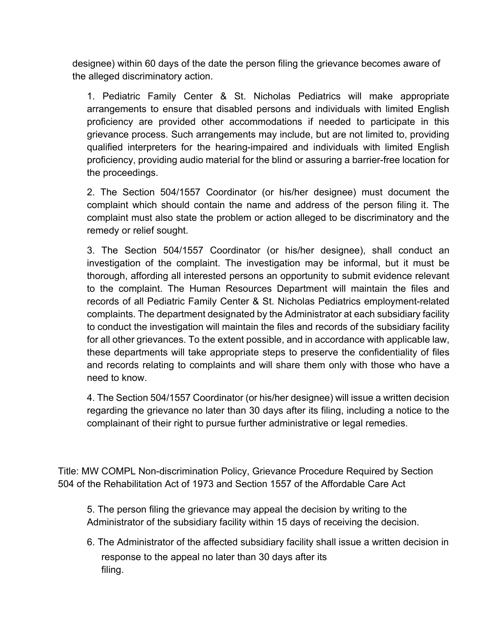designee) within 60 days of the date the person filing the grievance becomes aware of the alleged discriminatory action.

1. Pediatric Family Center & St. Nicholas Pediatrics will make appropriate arrangements to ensure that disabled persons and individuals with limited English proficiency are provided other accommodations if needed to participate in this grievance process. Such arrangements may include, but are not limited to, providing qualified interpreters for the hearing-impaired and individuals with limited English proficiency, providing audio material for the blind or assuring a barrier-free location for the proceedings.

2. The Section 504/1557 Coordinator (or his/her designee) must document the complaint which should contain the name and address of the person filing it. The complaint must also state the problem or action alleged to be discriminatory and the remedy or relief sought.

3. The Section 504/1557 Coordinator (or his/her designee), shall conduct an investigation of the complaint. The investigation may be informal, but it must be thorough, affording all interested persons an opportunity to submit evidence relevant to the complaint. The Human Resources Department will maintain the files and records of all Pediatric Family Center & St. Nicholas Pediatrics employment-related complaints. The department designated by the Administrator at each subsidiary facility to conduct the investigation will maintain the files and records of the subsidiary facility for all other grievances. To the extent possible, and in accordance with applicable law, these departments will take appropriate steps to preserve the confidentiality of files and records relating to complaints and will share them only with those who have a need to know.

4. The Section 504/1557 Coordinator (or his/her designee) will issue a written decision regarding the grievance no later than 30 days after its filing, including a notice to the complainant of their right to pursue further administrative or legal remedies.

Title: MW COMPL Non-discrimination Policy, Grievance Procedure Required by Section 504 of the Rehabilitation Act of 1973 and Section 1557 of the Affordable Care Act

5. The person filing the grievance may appeal the decision by writing to the Administrator of the subsidiary facility within 15 days of receiving the decision.

6. The Administrator of the affected subsidiary facility shall issue a written decision in response to the appeal no later than 30 days after its filing.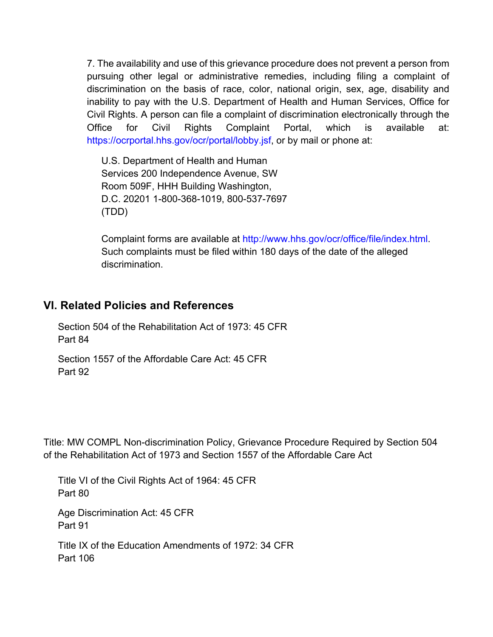7. The availability and use of this grievance procedure does not prevent a person from pursuing other legal or administrative remedies, including filing a complaint of discrimination on the basis of race, color, national origin, sex, age, disability and inability to pay with the U.S. Department of Health and Human Services, Office for Civil Rights. A person can file a complaint of discrimination electronically through the Office for Civil Rights Complaint Portal, which is available at: https://ocrportal.hhs.gov/ocr/portal/lobby.jsf, or by mail or phone at:

U.S. Department of Health and Human Services 200 Independence Avenue, SW Room 509F, HHH Building Washington, D.C. 20201 1-800-368-1019, 800-537-7697 (TDD)

Complaint forms are available at http://www.hhs.gov/ocr/office/file/index.html. Such complaints must be filed within 180 days of the date of the alleged discrimination.

#### **VI. Related Policies and References**

Section 504 of the Rehabilitation Act of 1973: 45 CFR Part 84

Section 1557 of the Affordable Care Act: 45 CFR Part 92

Title: MW COMPL Non-discrimination Policy, Grievance Procedure Required by Section 504 of the Rehabilitation Act of 1973 and Section 1557 of the Affordable Care Act

Title VI of the Civil Rights Act of 1964: 45 CFR Part 80

Age Discrimination Act: 45 CFR Part 91

Title IX of the Education Amendments of 1972: 34 CFR Part 106